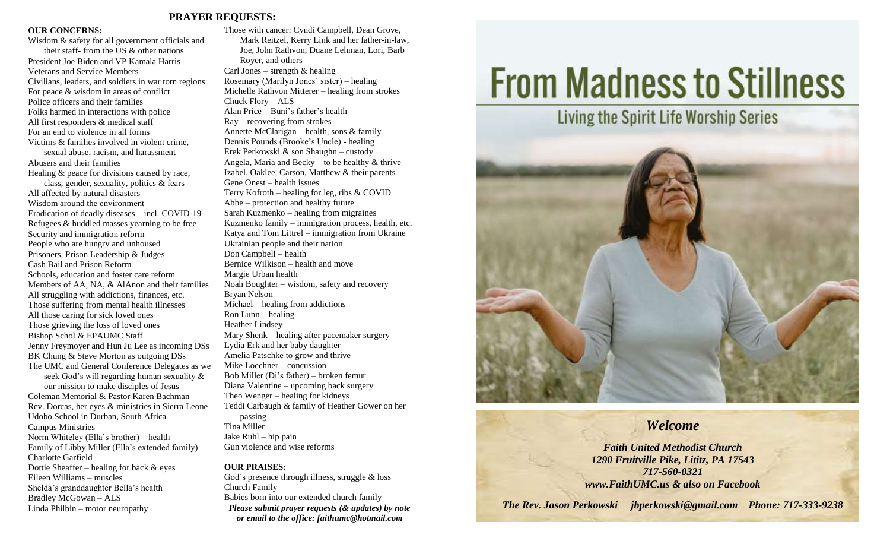## **PRAYER REQUESTS:**

### **OUR CONCERNS:**

Wisdom & safety for all government officials and their staff- from the US & other nations President Joe Biden and VP Kamala Harris Veterans and Service Members Civilians, leaders, and soldiers in war torn regions For peace & wisdom in areas of conflict Police officers and their families Folks harmed in interactions with police All first responders & medical staff For an end to violence in all forms Victims & families involved in violent crime, sexual abuse, racism, and harassment Abusers and their families Healing & peace for divisions caused by race, class, gender, sexuality, politics & fears All affected by natural disasters Wisdom around the environment Eradication of deadly diseases—incl. COVID-19 Refugees & huddled masses yearning to be free Security and immigration reform People who are hungry and unhoused Prisoners, Prison Leadership & Judges Cash Bail and Prison Reform Schools, education and foster care reform Members of AA, NA, & AlAnon and their families All struggling with addictions, finances, etc. Those suffering from mental health illnesses All those caring for sick loved ones Those grieving the loss of loved ones Bishop Schol & EPAUMC Staff Jenny Freymoyer and Hun Ju Lee as incoming DSs BK Chung & Steve Morton as outgoing DSs The UMC and General Conference Delegates as we seek God's will regarding human sexuality & our mission to make disciples of Jesus Coleman Memorial & Pastor Karen Bachman Rev. Dorcas, her eyes & ministries in Sierra Leone Udobo School in Durban, South Africa Campus Ministries Norm Whiteley (Ella's brother) – health Family of Libby Miller (Ella's extended family) Charlotte Garfield Dottie Sheaffer – healing for back & eyes Eileen Williams – muscles Shelda's granddaughter Bella's health Bradley McGowan – ALS Linda Philbin – motor neuropathy

Those with cancer: Cyndi Campbell, Dean Grove, Mark Reitzel, Kerry Link and her father-in-law, Joe, John Rathvon, Duane Lehman, Lori, Barb Royer, and others Carl Jones – strength  $\&$  healing Rosemary (Marilyn Jones' sister) – healing Michelle Rathvon Mitterer – healing from strokes Chuck Flory – ALS Alan Price – Buni's father's health Ray – recovering from strokes Annette McClarigan – health, sons & family Dennis Pounds (Brooke's Uncle) - healing Erek Perkowski & son Shaughn – custody Angela, Maria and Becky – to be healthy  $\&$  thrive Izabel, Oaklee, Carson, Matthew & their parents Gene Onest – health issues Terry Kofroth – healing for leg, ribs & COVID Abbe – protection and healthy future Sarah Kuzmenko – healing from migraines Kuzmenko family – immigration process, health, etc. Katya and Tom Littrel – immigration from Ukraine Ukrainian people and their nation Don Campbell – health Bernice Wilkison – health and move Margie Urban health Noah Boughter – wisdom, safety and recovery Bryan Nelson Michael – healing from addictions Ron Lunn – healing Heather Lindsey Mary Shenk – healing after pacemaker surgery Lydia Erk and her baby daughter Amelia Patschke to grow and thrive Mike Loechner – concussion Bob Miller (Di's father) – broken femur Diana Valentine – upcoming back surgery Theo Wenger – healing for kidneys Teddi Carbaugh & family of Heather Gower on her passing Tina Miller Jake Ruhl – hip pain

Gun violence and wise reforms

### **OUR PRAISES:**

God's presence through illness, struggle & loss Church Family Babies born into our extended church family *Please submit prayer requests (& updates) by note or email to the office: faithumc@hotmail.com*

# **From Madness to Stillness**



# *Welcome*

*Faith United Methodist Church 1290 Fruitville Pike, Lititz, PA 17543 717-560-0321 www.FaithUMC.us & also on Facebook*

*The Rev. Jason Perkowski jbperkowski@gmail.com Phone: 717-333-9238*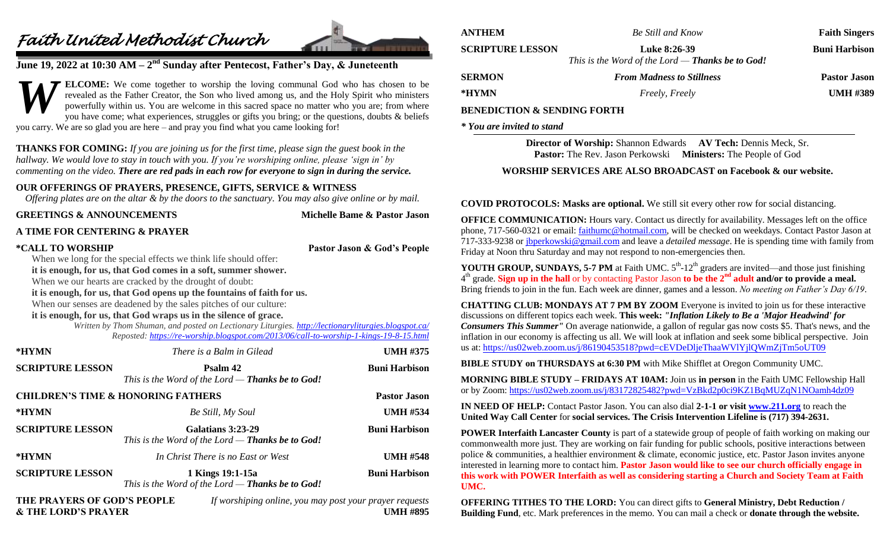# *Faith United Methodist Church*



# **June 19, 2022 at 10:30 AM – 2 nd Sunday after Pentecost, Father's Day, & Juneteenth**

**ELCOME:** We come together to worship the loving communal God who has chosen to be revealed as the Father Creator, the Son who lived among us, and the Holy Spirit who ministers powerfully within us. You are welcome in this sacred space no matter who you are; from where you have come; what experiences, struggles or gifts you bring; or the questions, doubts & beliefs you carry. We are so glad you are here – and pray you find what you came looking for! *W*

**THANKS FOR COMING:** *If you are joining us for the first time, please sign the guest book in the hallway. We would love to stay in touch with you. If you're worshiping online, please 'sign in' by commenting on the video. There are red pads in each row for everyone to sign in during the service.*

# **OUR OFFERINGS OF PRAYERS, PRESENCE, GIFTS, SERVICE & WITNESS**

*Offering plates are on the altar & by the doors to the sanctuary. You may also give online or by mail.*

| <b>GREETINGS &amp; ANNOUNCEMENTS</b> | Michelle Bame & Pastor Jason                                                                                                                                                                                                                                                                                                                                                                                                                                                                                                                                                                                      |                                                         |
|--------------------------------------|-------------------------------------------------------------------------------------------------------------------------------------------------------------------------------------------------------------------------------------------------------------------------------------------------------------------------------------------------------------------------------------------------------------------------------------------------------------------------------------------------------------------------------------------------------------------------------------------------------------------|---------------------------------------------------------|
| A TIME FOR CENTERING & PRAYER        |                                                                                                                                                                                                                                                                                                                                                                                                                                                                                                                                                                                                                   |                                                         |
| *CALL TO WORSHIP                     | When we long for the special effects we think life should offer:<br>it is enough, for us, that God comes in a soft, summer shower.<br>When we our hearts are cracked by the drought of doubt:<br>it is enough, for us, that God opens up the fountains of faith for us.<br>When our senses are deadened by the sales pitches of our culture:<br>it is enough, for us, that God wraps us in the silence of grace.<br>Written by Thom Shuman, and posted on Lectionary Liturgies. http://lectionaryliturgies.blogspot.ca/<br>Reposted: https://re-worship.blogspot.com/2013/06/call-to-worship-1-kings-19-8-15.html | Pastor Jason & God's People                             |
| *HYMN                                | There is a Balm in Gilead                                                                                                                                                                                                                                                                                                                                                                                                                                                                                                                                                                                         | <b>UMH #375</b>                                         |
| <b>SCRIPTURE LESSON</b>              | Psalm 42<br>This is the Word of the Lord $-$ Thanks be to God!                                                                                                                                                                                                                                                                                                                                                                                                                                                                                                                                                    | <b>Buni Harbison</b>                                    |
|                                      | <b>CHILDREN'S TIME &amp; HONORING FATHERS</b>                                                                                                                                                                                                                                                                                                                                                                                                                                                                                                                                                                     | <b>Pastor Jason</b>                                     |
| *HYMN                                | Be Still, My Soul                                                                                                                                                                                                                                                                                                                                                                                                                                                                                                                                                                                                 | <b>UMH #534</b>                                         |
| <b>SCRIPTURE LESSON</b>              | Galatians 3:23-29<br>This is the Word of the Lord $-$ Thanks be to God!                                                                                                                                                                                                                                                                                                                                                                                                                                                                                                                                           | <b>Buni Harbison</b>                                    |
| *HYMN                                | In Christ There is no East or West                                                                                                                                                                                                                                                                                                                                                                                                                                                                                                                                                                                | <b>UMH #548</b>                                         |
| <b>SCRIPTURE LESSON</b>              | 1 Kings 19:1-15a<br>This is the Word of the Lord $-$ Thanks be to God!                                                                                                                                                                                                                                                                                                                                                                                                                                                                                                                                            | <b>Buni Harbison</b>                                    |
| THE PRAYERS OF GOD'S PEOPLE          |                                                                                                                                                                                                                                                                                                                                                                                                                                                                                                                                                                                                                   | If worshiping online, you may post your prayer requests |

**& THE LORD'S PRAYER UMH #895**

|                         | <b>Be Still and Know</b>                                                  | <b>Faith Singers</b> |
|-------------------------|---------------------------------------------------------------------------|----------------------|
| <b>SCRIPTURE LESSON</b> | <b>Luke 8:26-39</b><br>This is the Word of the Lord $-$ Thanks be to God! | <b>Buni Harbison</b> |
| <b>SERMON</b>           | <b>From Madness to Stillness</b>                                          | <b>Pastor Jason</b>  |
| *HYMN                   | Freely, Freely                                                            | <b>UMH #389</b>      |

**Director of Worship:** Shannon Edwards **AV Tech:** Dennis Meck, Sr. **Pastor:** The Rev. Jason Perkowski **Ministers:** The People of God

# **WORSHIP SERVICES ARE ALSO BROADCAST on Facebook & our website.**

**COVID PROTOCOLS: Masks are optional.** We still sit every other row for social distancing.

**OFFICE COMMUNICATION:** Hours vary. Contact us directly for availability. Messages left on the office phone, 717-560-0321 or email: [faithumc@hotmail.com,](mailto:faithumc@hotmail.com) will be checked on weekdays. Contact Pastor Jason at 717-333-9238 o[r jbperkowski@gmail.com](mailto:jbperkowski@gmail.com) and leave a *detailed message*. He is spending time with family from Friday at Noon thru Saturday and may not respond to non-emergencies then.

**YOUTH GROUP, SUNDAYS, 5-7 PM** at Faith UMC.  $5<sup>th</sup>$ -12<sup>th</sup> graders are invited—and those just finishing 4 th grade. **Sign up in the hall** or by contacting Pastor Jason **to be the 2nd adult and/or to provide a meal.** Bring friends to join in the fun. Each week are dinner, games and a lesson. *No meeting on Father's Day 6/19*.

**CHATTING CLUB: MONDAYS AT 7 PM BY ZOOM** Everyone is invited to join us for these interactive discussions on different topics each week. **This week:** *"Inflation Likely to Be a 'Major Headwind' for Consumers This Summer"* On average nationwide, a gallon of regular gas now costs \$5. That's news, and the inflation in our economy is affecting us all. We will look at inflation and seek some biblical perspective. Join us at:<https://us02web.zoom.us/j/86190453518?pwd=cEVDeDljeThaaWVlYjlQWmZjTm5oUT09>

**BIBLE STUDY on THURSDAYS at 6:30 PM** with Mike Shifflet at Oregon Community UMC.

**MORNING BIBLE STUDY – FRIDAYS AT 10AM:** Join us **in person** in the Faith UMC Fellowship Hall or by Zoom: <https://us02web.zoom.us/j/83172825482?pwd=VzBkd2p0ci9KZ1BqMUZqN1NOamh4dz09>

**IN NEED OF HELP:** Contact Pastor Jason. You can also dial **2-1-1 or visit [www.211.org](http://www.211.org/)** to reach the **United Way Call Center** for **social services. The Crisis Intervention Lifeline is (717) 394-2631.**

**POWER Interfaith Lancaster County** is part of a statewide group of people of faith working on making our commonwealth more just. They are working on fair funding for public schools, positive interactions between police & communities, a healthier environment & climate, economic justice, etc. Pastor Jason invites anyone interested in learning more to contact him. **Pastor Jason would like to see our church officially engage in this work with POWER Interfaith as well as considering starting a Church and Society Team at Faith UMC.**

**OFFERING TITHES TO THE LORD:** You can direct gifts to **General Ministry, Debt Reduction / Building Fund**, etc. Mark preferences in the memo. You can mail a check or **donate through the website.**